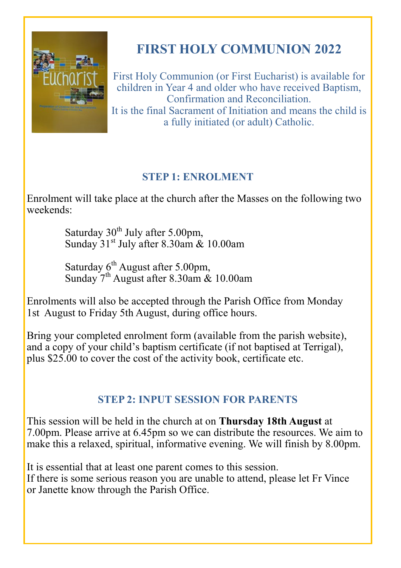

# **FIRST HOLY COMMUNION 2022**

First Holy Communion (or First Eucharist) is available for children in Year 4 and older who have received Baptism, Confirmation and Reconciliation. It is the final Sacrament of Initiation and means the child is a fully initiated (or adult) Catholic.

## **STEP 1: ENROLMENT**

Enrolment will take place at the church after the Masses on the following two weekends:

> Saturday  $30<sup>th</sup>$  July after 5.00pm, Sunday  $31^{st}$  July after 8.30am & 10.00am

Saturday  $6<sup>th</sup>$  August after 5.00pm, Sunday  $7<sup>th</sup>$  August after 8.30am  $\&$  10.00am

Enrolments will also be accepted through the Parish Office from Monday 1st August to Friday 5th August, during office hours.

Bring your completed enrolment form (available from the parish website), and a copy of your child's baptism certificate (if not baptised at Terrigal), plus \$25.00 to cover the cost of the activity book, certificate etc.

## **STEP 2: INPUT SESSION FOR PARENTS**

This session will be held in the church at on **Thursday 18th August** at 7.00pm. Please arrive at 6.45pm so we can distribute the resources. We aim to make this a relaxed, spiritual, informative evening. We will finish by 8.00pm.

It is essential that at least one parent comes to this session. If there is some serious reason you are unable to attend, please let Fr Vince or Janette know through the Parish Office.